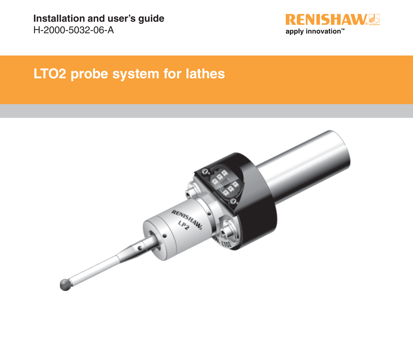**Installation and user's guide** H-2000-5032-06-A



## **LTO2 probe system for lathes**

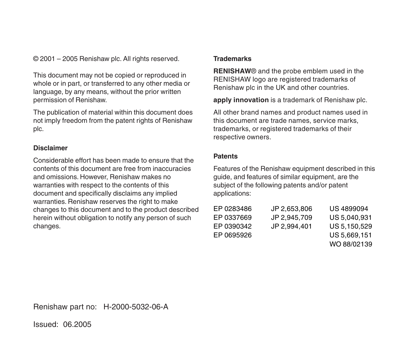© 2001 – 2005 Renishaw plc. All rights reserved.

This document may not be copied or reproduced in whole or in part, or transferred to any other media or language, by any means, without the prior written permission of Renishaw.

The publication of material within this document does not imply freedom from the patent rights of Renishaw plc.

#### **Disclaimer**

Considerable effort has been made to ensure that the contents of this document are free from inaccuracies and omissions. However, Renishaw makes no warranties with respect to the contents of this document and specifically disclaims any implied warranties. Renishaw reserves the right to make changes to this document and to the product described herein without obligation to notify any person of such changes.

#### **Trademarks**

**RENISHAW**® and the probe emblem used in the RENISHAW logo are registered trademarks of Renishaw plc in the UK and other countries.

**apply innovation** is a trademark of Renishaw plc.

All other brand names and product names used in this document are trade names, service marks, trademarks, or registered trademarks of their respective owners.

#### **Patents**

Features of the Renishaw equipment described in this guide, and features of similar equipment, are the subject of the following patents and/or patent applications:

| EP 0283486 | JP 2.653.806 | US 4899094   |
|------------|--------------|--------------|
| EP 0337669 | JP 2.945.709 | US 5.040.931 |
| EP 0390342 | JP 2.994.401 | US 5.150.529 |
| EP 0695926 |              | US 5.669.151 |
|            |              | WO 88/02139  |

Renishaw part no: H-2000-5032-06-A

Issued: 06.2005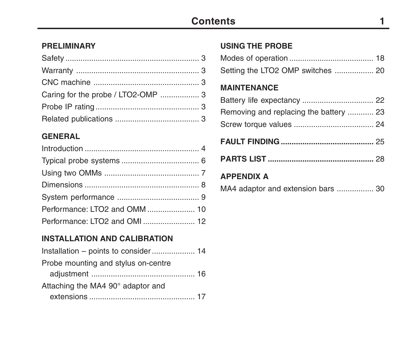### **Contents 1**

#### **PRELIMINARY**

#### **GENERAL**

| Performance: LTO2 and OMI 12 |  |
|------------------------------|--|

#### **INSTALLATION AND CALIBRATION**

#### **USING THE PROBE**

| Setting the LTO2 OMP switches  20 |  |
|-----------------------------------|--|

#### **MAINTENANCE**

| Removing and replacing the battery  23 |  |
|----------------------------------------|--|
|                                        |  |

|--|--|

|--|--|--|

### **APPENDIX A**

|  |  |  |  |  | MA4 adaptor and extension bars  30 |  |  |
|--|--|--|--|--|------------------------------------|--|--|
|--|--|--|--|--|------------------------------------|--|--|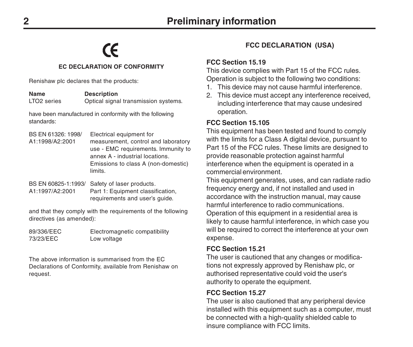# $\epsilon$

#### **EC DECLARATION OF CONFORMITY**

Renishaw plc declares that the products:

**Name Description**<br>
I TO2 series **Ontical signs** Optical signal transmission systems.

have been manufactured in conformity with the following standards:

BS EN 61326: 1998/ Electrical equipment for<br>A1:1998/A2:2001 measurement control a measurement, control and laboratory use - EMC requirements. Immunity to annex A - industrial locations. Emissions to class A (non-domestic) limits.

BS EN 60825-1:1993/ Safety of laser products.<br>A1:1997/A2:2001 Part 1: Equipment classif Part 1: Equipment classification, requirements and user's quide.

and that they comply with the requirements of the following directives (as amended):

| 89/336/EEC | Electromagnetic compatibility |
|------------|-------------------------------|
| 73/23/EEC  | Low voltage                   |

The above information is summarised from the EC Declarations of Conformity, available from Renishaw on request.

#### **FCC DECLARATION (USA)**

#### **FCC Section 15.19**

This device complies with Part 15 of the FCC rules. Operation is subject to the following two conditions:

- 1. This device may not cause harmful interference.
- 2. This device must accept any interference received, including interference that may cause undesired operation.

#### **FCC Section 15.105**

This equipment has been tested and found to comply with the limits for a Class A digital device, pursuant to Part 15 of the FCC rules. These limits are designed to provide reasonable protection against harmful interference when the equipment is operated in a commercial environment.

This equipment generates, uses, and can radiate radio frequency energy and, if not installed and used in accordance with the instruction manual, may cause harmful interference to radio communications. Operation of this equipment in a residential area is likely to cause harmful interference, in which case you will be required to correct the interference at your own expense.

#### **FCC Section 15.21**

The user is cautioned that any changes or modifications not expressly approved by Renishaw plc, or authorised representative could void the user's authority to operate the equipment.

#### **FCC Section 15.27**

The user is also cautioned that any peripheral device installed with this equipment such as a computer, must be connected with a high-quality shielded cable to insure compliance with FCC limits.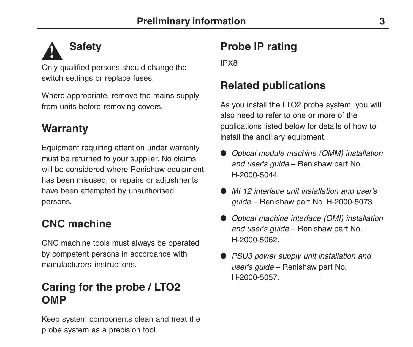### **Safety !**

Only qualified persons should change the switch settings or replace fuses.

Where appropriate, remove the mains supply from units before removing covers.

### **Warranty**

Equipment requiring attention under warranty must be returned to your supplier. No claims will be considered where Renishaw equipment has been misused, or repairs or adjustments have been attempted by unauthorised persons.

## **CNC machine**

CNC machine tools must always be operated by competent persons in accordance with manufacturers instructions.

## **Caring for the probe / LTO2 OMP**

Keep system components clean and treat the probe system as a precision tool.

## **Probe IP rating**

IPX8

### **Related publications**

As you install the LTO2 probe system, you will also need to refer to one or more of the publications listed below for details of how to install the ancillary equipment.

- Optical module machine (OMM) installation and user's guide – Renishaw part No. H-2000-5044.
- MI 12 interface unit installation and user's guide – Renishaw part No. H-2000-5073.
- Optical machine interface (OMI) installation and user's guide – Renishaw part No. H-2000-5062.
- PSU3 power supply unit installation and user's guide – Renishaw part No. H-2000-5057.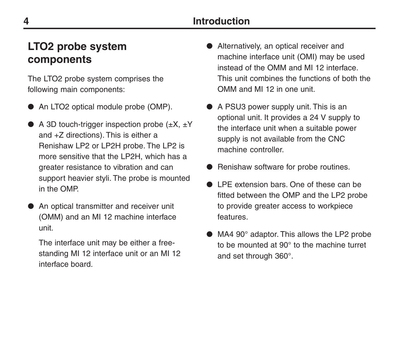### **Introduction**

### **LTO2 probe system components**

The LTO2 probe system comprises the following main components:

- An LTO2 optical module probe (OMP).
- $\bullet$  A 3D touch-trigger inspection probe ( $\pm X$ ,  $\pm Y$ ) and +Z directions). This is either a Renishaw LP2 or LP2H probe. The LP2 is more sensitive that the LP2H, which has a greater resistance to vibration and can support heavier styli. The probe is mounted in the OMP.
- An optical transmitter and receiver unit (OMM) and an MI 12 machine interface unit.

The interface unit may be either a freestanding MI 12 interface unit or an MI 12 interface board.

- Alternatively, an optical receiver and machine interface unit (OMI) may be used instead of the OMM and MI 12 interface. This unit combines the functions of both the OMM and MI 12 in one unit.
- A PSU3 power supply unit. This is an optional unit. It provides a 24 V supply to the interface unit when a suitable power supply is not available from the CNC machine controller.
- Renishaw software for probe routines.
- LPE extension bars. One of these can be fitted between the OMP and the LP2 probe to provide greater access to workpiece features.
- MA4 90° adaptor. This allows the LP2 probe to be mounted at 90° to the machine turret and set through 360°.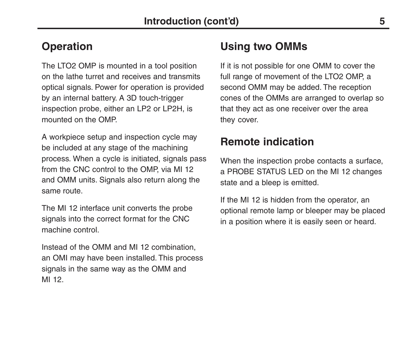### **Operation**

The LTO2 OMP is mounted in a tool position on the lathe turret and receives and transmits optical signals. Power for operation is provided by an internal battery. A 3D touch-trigger inspection probe, either an LP2 or LP2H, is mounted on the OMP.

A workpiece setup and inspection cycle may be included at any stage of the machining process. When a cycle is initiated, signals pass from the CNC control to the OMP, via MI 12 and OMM units. Signals also return along the same route.

The MI 12 interface unit converts the probe signals into the correct format for the CNC machine control.

Instead of the OMM and MI 12 combination, an OMI may have been installed. This process signals in the same way as the OMM and MI 12.

## **Using two OMMs**

If it is not possible for one OMM to cover the full range of movement of the LTO2 OMP, a second OMM may be added. The reception cones of the OMMs are arranged to overlap so that they act as one receiver over the area they cover.

### **Remote indication**

When the inspection probe contacts a surface. a PROBE STATUS LED on the MI 12 changes state and a bleep is emitted.

If the MI 12 is hidden from the operator, an optional remote lamp or bleeper may be placed in a position where it is easily seen or heard.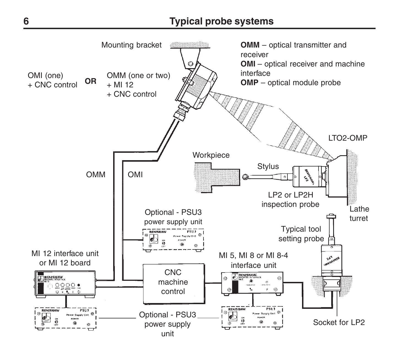### **6 Typical probe systems**

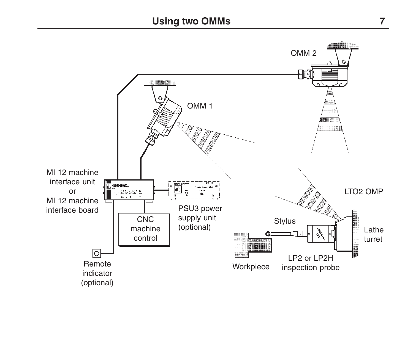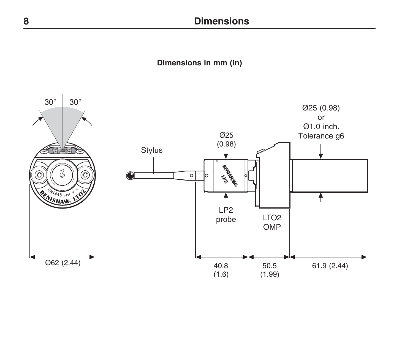**Dimensions in mm (in)**

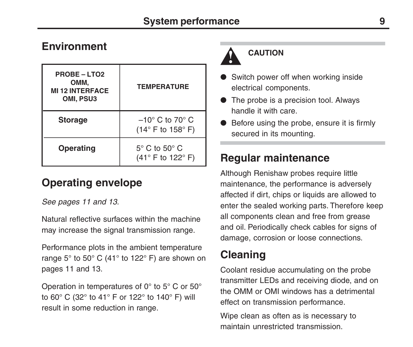### **Environment**

| <b>PROBE - LTO2</b><br>OMM,<br><b>MI 12 INTERFACE</b><br>OMI, PSU3 | <b>TEMPERATURE</b>                                                        |  |
|--------------------------------------------------------------------|---------------------------------------------------------------------------|--|
| <b>Storage</b>                                                     | $-10^{\circ}$ C to 70 $^{\circ}$ C<br>(14 $\degree$ F to 158 $\degree$ F) |  |
| Operating                                                          | $5^{\circ}$ C to $50^{\circ}$ C<br>$(41^{\circ}$ F to 122 $^{\circ}$ F)   |  |

## **Operating envelope**

See pages 11 and 13.

Natural reflective surfaces within the machine may increase the signal transmission range.

Performance plots in the ambient temperature range 5° to 50° C (41° to 122° F) are shown on pages 11 and 13.

Operation in temperatures of 0° to 5° C or 50° to 60° C (32° to 41° F or 122° to 140° F) will result in some reduction in range.

## **CAUTION**

**!**

- Switch power off when working inside electrical components.
- The probe is a precision tool. Always handle it with care.
- Before using the probe, ensure it is firmly secured in its mounting.

## **Regular maintenance**

Although Renishaw probes require little maintenance, the performance is adversely affected if dirt, chips or liquids are allowed to enter the sealed working parts. Therefore keep all components clean and free from grease and oil. Periodically check cables for signs of damage, corrosion or loose connections.

## **Cleaning**

Coolant residue accumulating on the probe transmitter LEDs and receiving diode, and on the OMM or OMI windows has a detrimental effect on transmission performance.

Wipe clean as often as is necessary to maintain unrestricted transmission.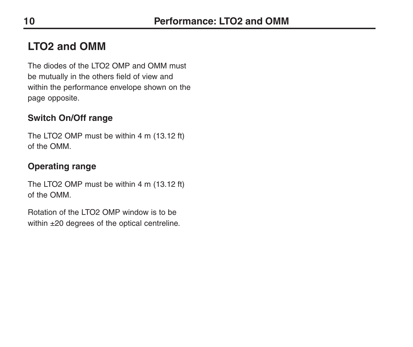## **LTO2 and OMM**

The diodes of the LTO2 OMP and OMM must be mutually in the others field of view and within the performance envelope shown on the page opposite.

### **Switch On/Off range**

The LTO2 OMP must be within 4 m (13.12 ft) of the OMM.

### **Operating range**

The LTO2 OMP must be within 4 m (13.12 ft) of the OMM.

Rotation of the LTO2 OMP window is to be within ±20 degrees of the optical centreline.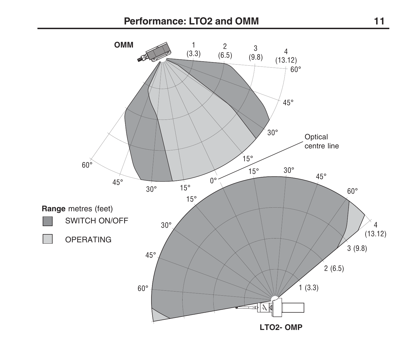### **Performance: LTO2 and OMM 11**

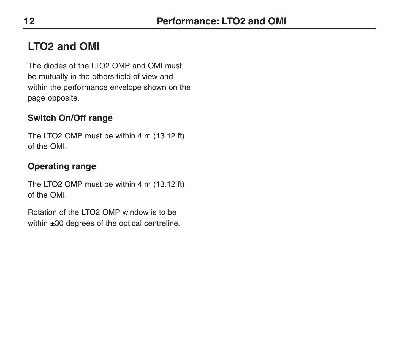## **LTO2 and OMI**

The diodes of the LTO2 OMP and OMI must be mutually in the others field of view and within the performance envelope shown on the page opposite.

### **Switch On/Off range**

The LTO2 OMP must be within 4 m (13.12 ft) of the OMI.

### **Operating range**

The LTO2 OMP must be within 4 m (13.12 ft) of the OMI.

Rotation of the LTO2 OMP window is to be within ±30 degrees of the optical centreline.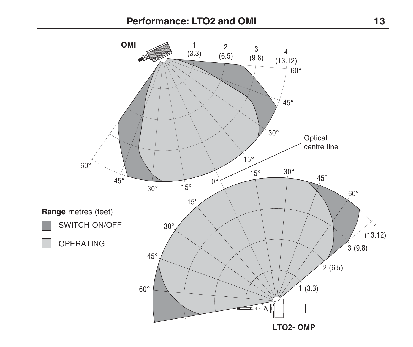### **Performance: LTO2 and OMI 13**

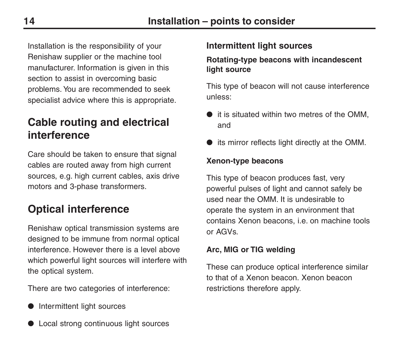Installation is the responsibility of your Renishaw supplier or the machine tool manufacturer. Information is given in this section to assist in overcoming basic problems. You are recommended to seek specialist advice where this is appropriate.

### **Cable routing and electrical interference**

Care should be taken to ensure that signal cables are routed away from high current sources, e.g. high current cables, axis drive motors and 3-phase transformers.

## **Optical interference**

Renishaw optical transmission systems are designed to be immune from normal optical interference. However there is a level above which powerful light sources will interfere with the optical system.

There are two categories of interference:

● Intermittent light sources

## ● Local strong continuous light sources

#### **Intermittent light sources**

#### **Rotating-type beacons with incandescent light source**

This type of beacon will not cause interference unless:

- it is situated within two metres of the OMM, and
- its mirror reflects light directly at the OMM.

#### **Xenon-type beacons**

This type of beacon produces fast, very powerful pulses of light and cannot safely be used near the OMM. It is undesirable to operate the system in an environment that contains Xenon beacons, i.e. on machine tools or AGVs.

#### **Arc, MIG or TIG welding**

These can produce optical interference similar to that of a Xenon beacon. Xenon beacon restrictions therefore apply.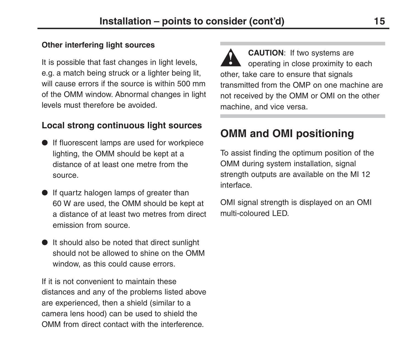#### **Other interfering light sources**

It is possible that fast changes in light levels, e.g. a match being struck or a lighter being lit, will cause errors if the source is within 500 mm of the OMM window. Abnormal changes in light levels must therefore be avoided.

### **Local strong continuous light sources**

- If fluorescent lamps are used for workpiece lighting, the OMM should be kept at a distance of at least one metre from the source.
- If quartz halogen lamps of greater than 60 W are used, the OMM should be kept at a distance of at least two metres from direct emission from source.
- It should also be noted that direct sunlight should not be allowed to shine on the OMM window, as this could cause errors.

If it is not convenient to maintain these distances and any of the problems listed above are experienced, then a shield (similar to a camera lens hood) can be used to shield the OMM from direct contact with the interference.

**CAUTION**: If two systems are operating in close proximity to each other, take care to ensure that signals transmitted from the OMP on one machine are not received by the OMM or OMI on the other machine, and vice versa. **!**

## **OMM and OMI positioning**

To assist finding the optimum position of the OMM during system installation, signal strength outputs are available on the MI 12 interface.

OMI signal strength is displayed on an OMI multi-coloured LED.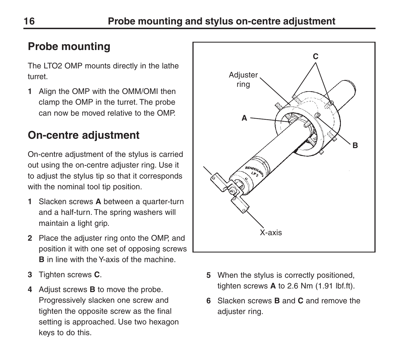## **Probe mounting**

The LTO2 OMP mounts directly in the lathe turret.

**1** Align the OMP with the OMM/OMI then clamp the OMP in the turret. The probe can now be moved relative to the OMP.

## **On-centre adjustment**

On-centre adjustment of the stylus is carried out using the on-centre adjuster ring. Use it to adjust the stylus tip so that it corresponds with the nominal tool tip position.

- **1** Slacken screws **A** between a quarter-turn and a half-turn. The spring washers will maintain a light grip.
- **2** Place the adjuster ring onto the OMP, and position it with one set of opposing screws **B** in line with the Y-axis of the machine.
- **3** Tighten screws **C**.
- **4** Adjust screws **B** to move the probe. Progressively slacken one screw and tighten the opposite screw as the final setting is approached. Use two hexagon keys to do this.



- **5** When the stylus is correctly positioned, tighten screws **A** to 2.6 Nm (1.91 lbf.ft).
- **6** Slacken screws **B** and **C** and remove the adiuster ring.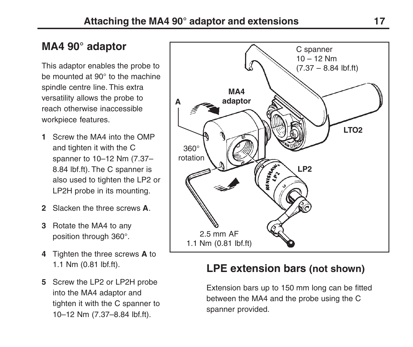## **MA4 90° adaptor**

This adaptor enables the probe to be mounted at 90° to the machine spindle centre line. This extra versatility allows the probe to reach otherwise inaccessible workpiece features.

- **1** Screw the MA4 into the OMP and tighten it with the C spanner to 10–12 Nm (7.37– 8.84 lbf.ft). The C spanner is also used to tighten the LP2 or LP2H probe in its mounting.
- **2** Slacken the three screws **A**.
- **3** Rotate the MA4 to any position through 360°.
- **4** Tighten the three screws **A** to 1.1 Nm (0.81 lbf.ft).
- **5** Screw the LP2 or LP2H probe into the MA4 adaptor and tighten it with the C spanner to 10–12 Nm (7.37–8.84 lbf.ft).



### **LPE extension bars (not shown)**

Extension bars up to 150 mm long can be fitted between the MA4 and the probe using the C spanner provided.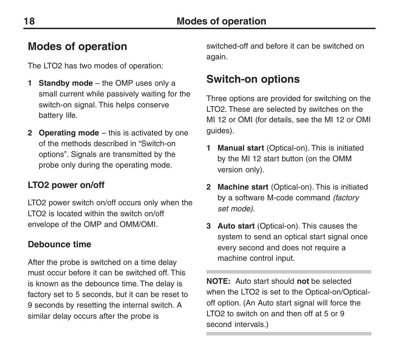### **Modes of operation**

The LTO2 has two modes of operation:

- **1 Standby mode** the OMP uses only a small current while passively waiting for the switch-on signal. This helps conserve battery life.
- **2 Operating mode** this is activated by one of the methods described in "Switch-on options". Signals are transmitted by the probe only during the operating mode.

### **LTO2 power on/off**

LTO2 power switch on/off occurs only when the LTO2 is located within the switch on/off envelope of the OMP and OMM/OMI.

#### **Debounce time**

After the probe is switched on a time delay must occur before it can be switched off. This is known as the debounce time. The delay is factory set to 5 seconds, but it can be reset to 9 seconds by resetting the internal switch. A similar delay occurs after the probe is

switched-off and before it can be switched on again.

### **Switch-on options**

Three options are provided for switching on the LTO2. These are selected by switches on the MI 12 or OMI (for details, see the MI 12 or OMI quides).

- **1 Manual start** (Optical-on). This is initiated by the MI 12 start button (on the OMM version only).
- **2 Machine start** (Optical-on). This is initiated by a software M-code command *(factory* set mode).
- **3 Auto start** (Optical-on). This causes the system to send an optical start signal once every second and does not require a machine control input.

**NOTE:** Auto start should **not** be selected when the LTO2 is set to the Optical-on/Opticaloff option. (An Auto start signal will force the LTO2 to switch on and then off at 5 or 9 second intervals.)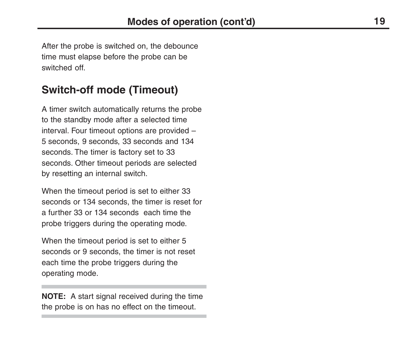After the probe is switched on, the debounce time must elapse before the probe can be switched off.

### **Switch-off mode (Timeout)**

A timer switch automatically returns the probe to the standby mode after a selected time interval. Four timeout options are provided – 5 seconds, 9 seconds, 33 seconds and 134 seconds. The timer is factory set to 33 seconds. Other timeout periods are selected by resetting an internal switch.

When the timeout period is set to either 33 seconds or 134 seconds, the timer is reset for a further 33 or 134 seconds each time the probe triggers during the operating mode.

When the timeout period is set to either 5 seconds or 9 seconds, the timer is not reset each time the probe triggers during the operating mode.

**NOTE:** A start signal received during the time the probe is on has no effect on the timeout.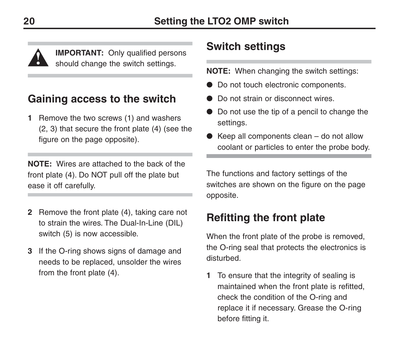**IMPORTANT:** Only qualified persons should change the switch settings.

### **Gaining access to the switch**

**1** Remove the two screws (1) and washers (2, 3) that secure the front plate (4) (see the figure on the page opposite).

**NOTE:** Wires are attached to the back of the front plate (4). Do NOT pull off the plate but ease it off carefully.

- **2** Remove the front plate (4), taking care not to strain the wires. The Dual-In-Line (DIL) switch (5) is now accessible.
- **3** If the O-ring shows signs of damage and needs to be replaced, unsolder the wires from the front plate (4).

### **Switch settings**

**NOTE:** When changing the switch settings:

- Do not touch electronic components.
- Do not strain or disconnect wires.
- Do not use the tip of a pencil to change the settings.
- Keep all components clean  $-$  do not allow coolant or particles to enter the probe body.

The functions and factory settings of the switches are shown on the figure on the page opposite.

### **Refitting the front plate**

When the front plate of the probe is removed, the O-ring seal that protects the electronics is disturbed.

**1** To ensure that the integrity of sealing is maintained when the front plate is refitted, check the condition of the O-ring and replace it if necessary. Grease the O-ring before fitting it.

**!**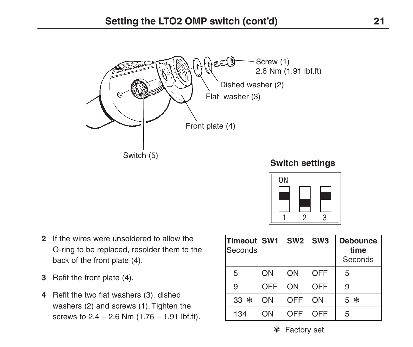

#### **Switch settings**

ON 1 2 3

- **2** If the wires were unsoldered to allow the O-ring to be replaced, resolder them to the back of the front plate (4).
- **3** Refit the front plate (4).
- **4** Refit the two flat washers (3), dished washers (2) and screws (1). Tighten the screws to  $2.4 - 2.6$  Nm  $(1.76 - 1.91$  lbf.ft).

| Timeout SW1 SW2 SW3<br>Seconds |     |     |            | <b>Debounce</b><br>time<br>Seconds |
|--------------------------------|-----|-----|------------|------------------------------------|
| 5                              | ON  | ON  | <b>OFF</b> | 5                                  |
| 9                              | OFF | ON  | <b>OFF</b> | 9                                  |
| 33 *                           | ON  | OFF | ON         | 5 *                                |
| 134                            | ON  | OFF | OFF        | 5                                  |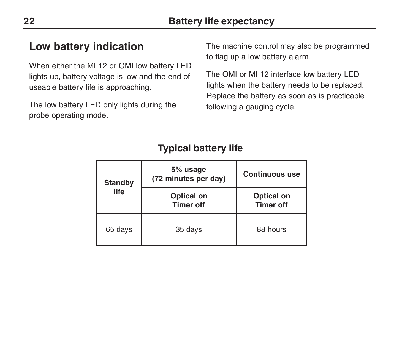### **Low battery indication**

When either the MI 12 or OMI low battery LED lights up, battery voltage is low and the end of useable battery life is approaching.

The low battery LED only lights during the probe operating mode.

The machine control may also be programmed to flag up a low battery alarm.

The OMI or MI 12 interface low battery LED lights when the battery needs to be replaced. Replace the battery as soon as is practicable following a gauging cycle.

| <b>Standby</b><br>life | 5% usage<br>(72 minutes per day) | <b>Continuous use</b>          |
|------------------------|----------------------------------|--------------------------------|
|                        | Optical on<br><b>Timer off</b>   | Optical on<br><b>Timer off</b> |
| 65 days                | 35 days                          | 88 hours                       |

### **Typical battery life**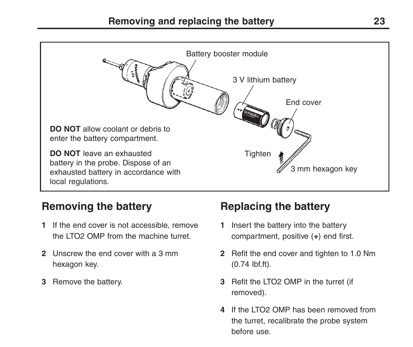

### **Removing the battery**

- **1** If the end cover is not accessible, remove the LTO2 OMP from the machine turret.
- **2** Unscrew the end cover with a 3 mm hexagon key.
- **3** Remove the battery.

### **Replacing the battery**

- **1** Insert the battery into the battery compartment, positive (**+**) end first.
- **2** Refit the end cover and tighten to 1.0 Nm (0.74 lbf.ft).
- **3** Refit the LTO2 OMP in the turret (if removed).
- **4** If the LTO2 OMP has been removed from the turret, recalibrate the probe system before use.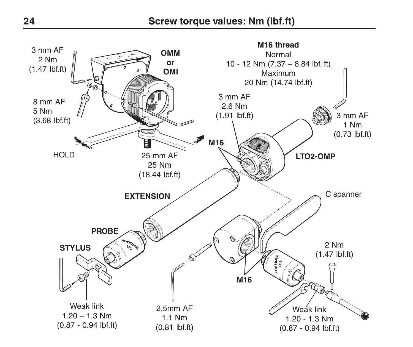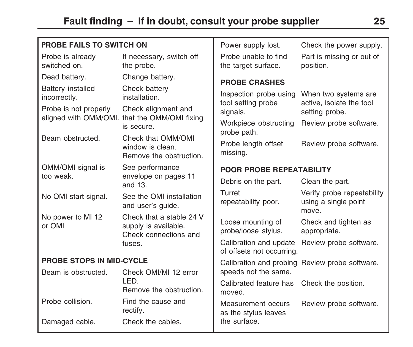| <b>PROBE FAILS TO SWITCH ON</b>   |                                                                           | Power supply lost.                                  | Check the power supply.                                     |
|-----------------------------------|---------------------------------------------------------------------------|-----------------------------------------------------|-------------------------------------------------------------|
| Probe is already<br>switched on.  | If necessary, switch off<br>the probe.                                    | Probe unable to find<br>the target surface.         | Part is missing or out of<br>position.                      |
| Dead battery.                     | Change battery.                                                           | <b>PROBE CRASHES</b>                                |                                                             |
| Battery installed<br>incorrectly. | Check battery<br>installation.                                            | Inspection probe using<br>tool setting probe        | When two systems are<br>active, isolate the tool            |
| Probe is not properly             | Check alignment and                                                       | signals.                                            | setting probe.                                              |
|                                   | aligned with OMM/OMI. that the OMM/OMI fixing<br>is secure.               | Workpiece obstructing                               | Review probe software.                                      |
| Beam obstructed.                  | Check that OMM/OMI                                                        | probe path.                                         |                                                             |
|                                   | window is clean.<br>Remove the obstruction                                | Probe length offset<br>missing.                     | Review probe software.                                      |
| OMM/OMI signal is                 | See performance                                                           | POOR PROBE REPEATABILITY                            |                                                             |
| too weak.                         | envelope on pages 11<br>and $13$ .                                        | Debris on the part.                                 | Clean the part.                                             |
| No OMI start signal.              | See the OMI installation<br>and user's quide.                             | Turret<br>repeatability poor.                       | Verify probe repeatability<br>using a single point<br>move. |
| No power to MI 12<br>or OMI       | Check that a stable 24 V<br>supply is available.<br>Check connections and | Loose mounting of<br>probe/loose stylus.            | Check and tighten as<br>appropriate.                        |
|                                   | fuses.                                                                    | Calibration and update<br>of offsets not occurring. | Review probe software.                                      |
| <b>PROBE STOPS IN MID-CYCLE</b>   |                                                                           | Calibration and probing                             | Review probe software.                                      |
| Beam is obstructed.               | Check OMI/MI 12 error                                                     | speeds not the same.                                |                                                             |
|                                   | LED.<br>Remove the obstruction.                                           | Calibrated feature has<br>moved.                    | Check the position.                                         |
| Probe collision.                  | Find the cause and<br>rectify.                                            | Measurement occurs<br>as the stylus leaves          | Review probe software.                                      |
| Damaged cable.                    | Check the cables.                                                         | the surface.                                        |                                                             |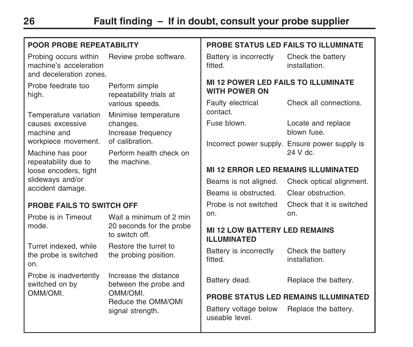| POOR PROBE REPEATABILITY                                                   |                                                        | <b>PROBE STATUS LED FAILS TO ILLUMINATE</b>                        |                                                           |
|----------------------------------------------------------------------------|--------------------------------------------------------|--------------------------------------------------------------------|-----------------------------------------------------------|
| Probing occurs within<br>machine's acceleration<br>and deceleration zones. | Review probe software.                                 | Battery is incorrectly<br>fitted.                                  | Check the battery<br>installation.                        |
| Probe feedrate too<br>high.                                                | Perform simple<br>repeatability trials at              | <b>MI 12 POWER LED FAILS TO ILLUMINATE</b><br><b>WITH POWER ON</b> |                                                           |
| Temperature variation                                                      | various speeds.                                        | Faulty electrical<br>contact.                                      | Check all connections.                                    |
| causes excessive<br>machine and                                            | Minimise temperature<br>changes.<br>Increase frequency | Fuse blown.                                                        | Locate and replace<br>blown fuse.                         |
| workpiece movement.<br>Machine has poor                                    | of calibration.<br>Perform health check on             |                                                                    | Incorrect power supply. Ensure power supply is<br>24 V dc |
| repeatability due to<br>the machine.<br>loose encoders, tight              |                                                        | <b>MI 12 ERROR LED REMAINS ILLUMINATED</b>                         |                                                           |
| slideways and/or<br>accident damage.                                       |                                                        | Beams is not aligned.                                              | Check optical alignment.                                  |
|                                                                            |                                                        | Beams is obstructed.                                               | Clear obstruction.                                        |
| <b>PROBE FAILS TO SWITCH OFF</b>                                           |                                                        | Probe is not switched                                              | Check that it is switched                                 |
| Probe is in Timeout                                                        | Wait a minimum of 2 min                                | on.                                                                | on.                                                       |
| mode.                                                                      | 20 seconds for the probe<br>to switch off.             | <b>MI 12 LOW BATTERY LED REMAINS</b><br><b>ILLUMINATED</b>         |                                                           |
| Turret indexed, while<br>the probe is switched<br>on.                      | Restore the turret to<br>the probing position.         | Battery is incorrectly<br>fitted.                                  | Check the battery<br>installation.                        |
| Probe is inadvertently<br>switched on by                                   | Increase the distance<br>between the probe and         | Battery dead.                                                      | Replace the battery.                                      |
| OMM/OMI.                                                                   | OMM/OML<br>Reduce the OMM/OMI<br>signal strength.      | PROBE STATUS LED REMAINS ILLUMINATED                               |                                                           |
|                                                                            |                                                        | Battery voltage below<br>useable level.                            | Replace the battery.                                      |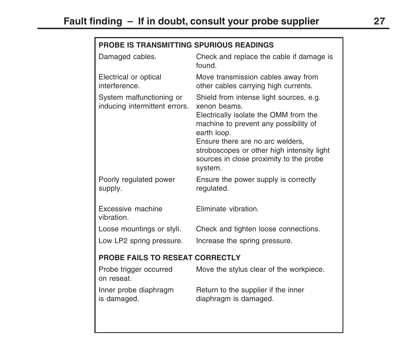#### **PROBE IS TRANSMITTING SPURIOUS READINGS**

| Damaged cables.                                           | Check and replace the cable if damage is<br>found                                                                                                                                                                                                                                                |
|-----------------------------------------------------------|--------------------------------------------------------------------------------------------------------------------------------------------------------------------------------------------------------------------------------------------------------------------------------------------------|
| Electrical or optical<br>interference.                    | Move transmission cables away from<br>other cables carrying high currents.                                                                                                                                                                                                                       |
| System malfunctioning or<br>inducing intermittent errors. | Shield from intense light sources, e.g.<br>xenon beams.<br>Electrically isolate the OMM from the<br>machine to prevent any possibility of<br>earth loop.<br>Ensure there are no arc welders,<br>stroboscopes or other high intensity light<br>sources in close proximity to the probe<br>system. |
| Poorly regulated power<br>supply.                         | Ensure the power supply is correctly<br>regulated.                                                                                                                                                                                                                                               |
| Excessive machine<br>vibration.                           | Eliminate vibration.                                                                                                                                                                                                                                                                             |
| Loose mountings or styli.                                 | Check and tighten loose connections.                                                                                                                                                                                                                                                             |
| Low LP2 spring pressure.                                  | Increase the spring pressure.                                                                                                                                                                                                                                                                    |
| PROBE FAILS TO RESEAT CORRECTLY                           |                                                                                                                                                                                                                                                                                                  |
| Probe trigger occurred<br>on reseat.                      | Move the stylus clear of the workpiece.                                                                                                                                                                                                                                                          |
| Inner probe diaphragm<br>is damaged.                      | Return to the supplier if the inner<br>diaphragm is damaged.                                                                                                                                                                                                                                     |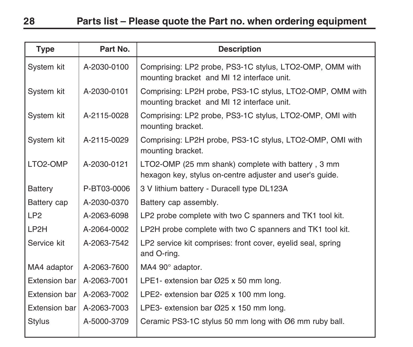| <b>Type</b>     | Part No.    | <b>Description</b>                                                                                             |
|-----------------|-------------|----------------------------------------------------------------------------------------------------------------|
| System kit      | A-2030-0100 | Comprising: LP2 probe, PS3-1C stylus, LTO2-OMP, OMM with<br>mounting bracket and MI 12 interface unit.         |
| System kit      | A-2030-0101 | Comprising: LP2H probe, PS3-1C stylus, LTO2-OMP, OMM with<br>mounting bracket and MI 12 interface unit.        |
| System kit      | A-2115-0028 | Comprising: LP2 probe, PS3-1C stylus, LTO2-OMP, OMI with<br>mounting bracket.                                  |
| System kit      | A-2115-0029 | Comprising: LP2H probe, PS3-1C stylus, LTO2-OMP, OMI with<br>mounting bracket.                                 |
| LTO2-OMP        | A-2030-0121 | LTO2-OMP (25 mm shank) complete with battery, 3 mm<br>hexagon key, stylus on-centre adjuster and user's guide. |
| Battery         | P-BT03-0006 | 3 V lithium battery - Duracell type DL123A                                                                     |
| Battery cap     | A-2030-0370 | Battery cap assembly.                                                                                          |
| LP <sub>2</sub> | A-2063-6098 | LP2 probe complete with two C spanners and TK1 tool kit.                                                       |
| LP2H            | A-2064-0002 | LP2H probe complete with two C spanners and TK1 tool kit.                                                      |
| Service kit     | A-2063-7542 | LP2 service kit comprises: front cover, eyelid seal, spring<br>and O-ring.                                     |
| MA4 adaptor     | A-2063-7600 | MA4 90° adaptor.                                                                                               |
| Extension bar   | A-2063-7001 | LPE1- extension bar $\varnothing$ 25 x 50 mm long.                                                             |
| Extension bar l | A-2063-7002 | LPE2- extension bar Ø25 x 100 mm long.                                                                         |
| Extension bar   | A-2063-7003 | LPE3- extension bar Ø25 x 150 mm long.                                                                         |
| Stylus          | A-5000-3709 | Ceramic PS3-1C stylus 50 mm long with Ø6 mm ruby ball.                                                         |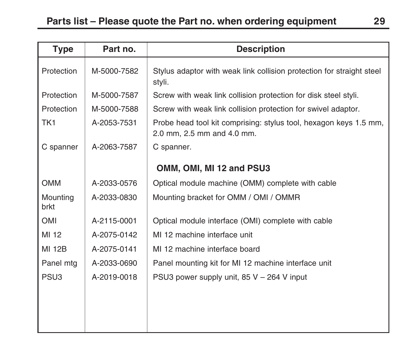| <b>Type</b>      | Part no.    | <b>Description</b>                                                                              |
|------------------|-------------|-------------------------------------------------------------------------------------------------|
| Protection       | M-5000-7582 | Stylus adaptor with weak link collision protection for straight steel<br>styli.                 |
| Protection       | M-5000-7587 | Screw with weak link collision protection for disk steel styli.                                 |
| Protection       | M-5000-7588 | Screw with weak link collision protection for swivel adaptor.                                   |
| TK <sub>1</sub>  | A-2053-7531 | Probe head tool kit comprising: stylus tool, hexagon keys 1.5 mm,<br>2.0 mm, 2.5 mm and 4.0 mm. |
| C spanner        | A-2063-7587 | C spanner.                                                                                      |
|                  |             | OMM, OMI, MI 12 and PSU3                                                                        |
| <b>OMM</b>       | A-2033-0576 | Optical module machine (OMM) complete with cable                                                |
| Mounting<br>brkt | A-2033-0830 | Mounting bracket for OMM / OMI / OMMR                                                           |
| OMI              | A-2115-0001 | Optical module interface (OMI) complete with cable                                              |
| MI 12            | A-2075-0142 | MI 12 machine interface unit                                                                    |
| <b>MI 12B</b>    | A-2075-0141 | MI 12 machine interface board                                                                   |
| Panel mtg        | A-2033-0690 | Panel mounting kit for MI 12 machine interface unit                                             |
| PSU <sub>3</sub> | A-2019-0018 | PSU3 power supply unit, $85 V - 264 V$ input                                                    |
|                  |             |                                                                                                 |
|                  |             |                                                                                                 |
|                  |             |                                                                                                 |
|                  |             |                                                                                                 |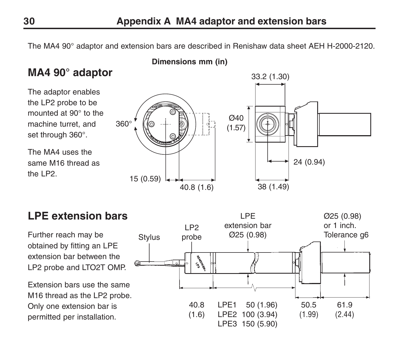The MA4 90° adaptor and extension bars are described in Renishaw data sheet AEH H-2000-2120.



### **LPE extension bars**

Further reach may be obtained by fitting an LPE extension bar between the LP2 probe and LTO2T OMP.

Extension bars use the same M16 thread as the LP2 probe. Only one extension bar is permitted per installation.